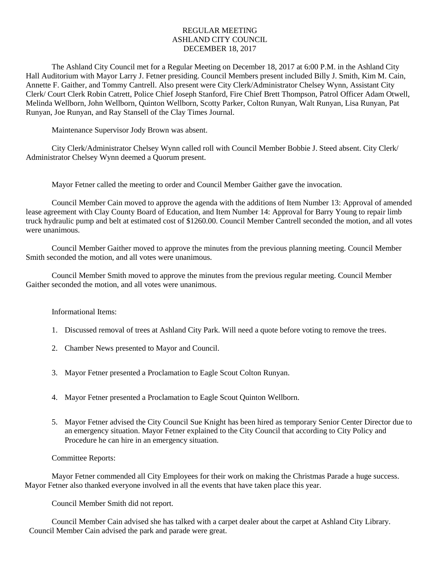## REGULAR MEETING ASHLAND CITY COUNCIL DECEMBER 18, 2017

The Ashland City Council met for a Regular Meeting on December 18, 2017 at 6:00 P.M. in the Ashland City Hall Auditorium with Mayor Larry J. Fetner presiding. Council Members present included Billy J. Smith, Kim M. Cain, Annette F. Gaither, and Tommy Cantrell. Also present were City Clerk/Administrator Chelsey Wynn, Assistant City Clerk/ Court Clerk Robin Catrett, Police Chief Joseph Stanford, Fire Chief Brett Thompson, Patrol Officer Adam Otwell, Melinda Wellborn, John Wellborn, Quinton Wellborn, Scotty Parker, Colton Runyan, Walt Runyan, Lisa Runyan, Pat Runyan, Joe Runyan, and Ray Stansell of the Clay Times Journal.

Maintenance Supervisor Jody Brown was absent.

City Clerk/Administrator Chelsey Wynn called roll with Council Member Bobbie J. Steed absent. City Clerk/ Administrator Chelsey Wynn deemed a Quorum present.

Mayor Fetner called the meeting to order and Council Member Gaither gave the invocation.

Council Member Cain moved to approve the agenda with the additions of Item Number 13: Approval of amended lease agreement with Clay County Board of Education, and Item Number 14: Approval for Barry Young to repair limb truck hydraulic pump and belt at estimated cost of \$1260.00. Council Member Cantrell seconded the motion, and all votes were unanimous.

Council Member Gaither moved to approve the minutes from the previous planning meeting. Council Member Smith seconded the motion, and all votes were unanimous.

Council Member Smith moved to approve the minutes from the previous regular meeting. Council Member Gaither seconded the motion, and all votes were unanimous.

Informational Items:

- 1. Discussed removal of trees at Ashland City Park. Will need a quote before voting to remove the trees.
- 2. Chamber News presented to Mayor and Council.
- 3. Mayor Fetner presented a Proclamation to Eagle Scout Colton Runyan.
- 4. Mayor Fetner presented a Proclamation to Eagle Scout Quinton Wellborn.
- 5. Mayor Fetner advised the City Council Sue Knight has been hired as temporary Senior Center Director due to an emergency situation. Mayor Fetner explained to the City Council that according to City Policy and Procedure he can hire in an emergency situation.

## Committee Reports:

Mayor Fetner commended all City Employees for their work on making the Christmas Parade a huge success. Mayor Fetner also thanked everyone involved in all the events that have taken place this year.

Council Member Smith did not report.

Council Member Cain advised she has talked with a carpet dealer about the carpet at Ashland City Library. Council Member Cain advised the park and parade were great.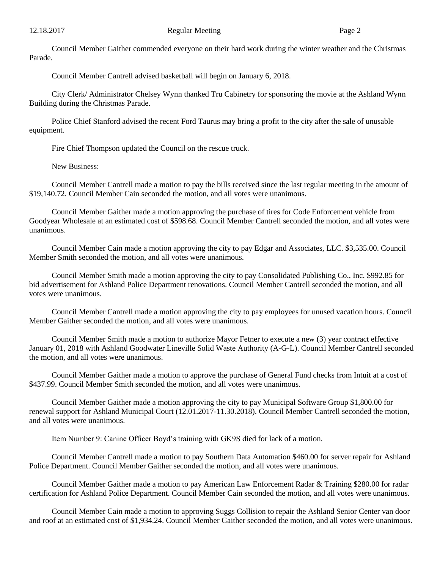Council Member Gaither commended everyone on their hard work during the winter weather and the Christmas Parade.

Council Member Cantrell advised basketball will begin on January 6, 2018.

City Clerk/ Administrator Chelsey Wynn thanked Tru Cabinetry for sponsoring the movie at the Ashland Wynn Building during the Christmas Parade.

Police Chief Stanford advised the recent Ford Taurus may bring a profit to the city after the sale of unusable equipment.

Fire Chief Thompson updated the Council on the rescue truck.

New Business:

Council Member Cantrell made a motion to pay the bills received since the last regular meeting in the amount of \$19,140.72. Council Member Cain seconded the motion, and all votes were unanimous.

Council Member Gaither made a motion approving the purchase of tires for Code Enforcement vehicle from Goodyear Wholesale at an estimated cost of \$598.68. Council Member Cantrell seconded the motion, and all votes were unanimous.

Council Member Cain made a motion approving the city to pay Edgar and Associates, LLC. \$3,535.00. Council Member Smith seconded the motion, and all votes were unanimous.

Council Member Smith made a motion approving the city to pay Consolidated Publishing Co., Inc. \$992.85 for bid advertisement for Ashland Police Department renovations. Council Member Cantrell seconded the motion, and all votes were unanimous.

Council Member Cantrell made a motion approving the city to pay employees for unused vacation hours. Council Member Gaither seconded the motion, and all votes were unanimous.

Council Member Smith made a motion to authorize Mayor Fetner to execute a new (3) year contract effective January 01, 2018 with Ashland Goodwater Lineville Solid Waste Authority (A-G-L). Council Member Cantrell seconded the motion, and all votes were unanimous.

Council Member Gaither made a motion to approve the purchase of General Fund checks from Intuit at a cost of \$437.99. Council Member Smith seconded the motion, and all votes were unanimous.

Council Member Gaither made a motion approving the city to pay Municipal Software Group \$1,800.00 for renewal support for Ashland Municipal Court (12.01.2017-11.30.2018). Council Member Cantrell seconded the motion, and all votes were unanimous.

Item Number 9: Canine Officer Boyd's training with GK9S died for lack of a motion.

Council Member Cantrell made a motion to pay Southern Data Automation \$460.00 for server repair for Ashland Police Department. Council Member Gaither seconded the motion, and all votes were unanimous.

Council Member Gaither made a motion to pay American Law Enforcement Radar & Training \$280.00 for radar certification for Ashland Police Department. Council Member Cain seconded the motion, and all votes were unanimous.

Council Member Cain made a motion to approving Suggs Collision to repair the Ashland Senior Center van door and roof at an estimated cost of \$1,934.24. Council Member Gaither seconded the motion, and all votes were unanimous.